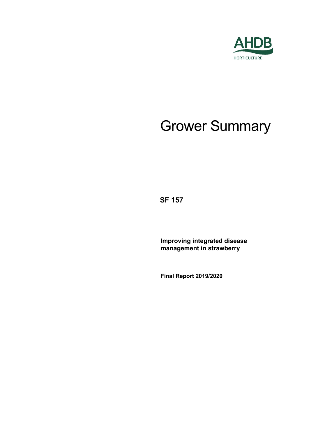

# Grower Summary

**SF 157**

**Improving integrated disease management in strawberry**

**Final Report 2019/2020**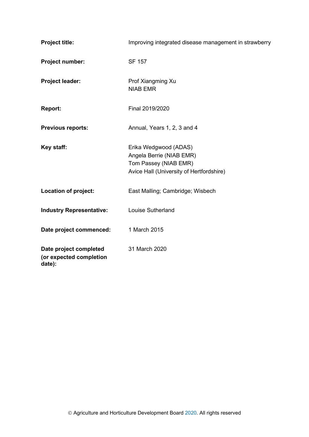| <b>Project title:</b>                                       | Improving integrated disease management in strawberry                                                                  |
|-------------------------------------------------------------|------------------------------------------------------------------------------------------------------------------------|
| Project number:                                             | <b>SF 157</b>                                                                                                          |
| Project leader:                                             | Prof Xiangming Xu<br><b>NIAB EMR</b>                                                                                   |
| <b>Report:</b>                                              | Final 2019/2020                                                                                                        |
| <b>Previous reports:</b>                                    | Annual, Years 1, 2, 3 and 4                                                                                            |
| Key staff:                                                  | Erika Wedgwood (ADAS)<br>Angela Berrie (NIAB EMR)<br>Tom Passey (NIAB EMR)<br>Avice Hall (University of Hertfordshire) |
| <b>Location of project:</b>                                 | East Malling; Cambridge; Wisbech                                                                                       |
| <b>Industry Representative:</b>                             | <b>Louise Sutherland</b>                                                                                               |
| Date project commenced:                                     | 1 March 2015                                                                                                           |
| Date project completed<br>(or expected completion<br>date): | 31 March 2020                                                                                                          |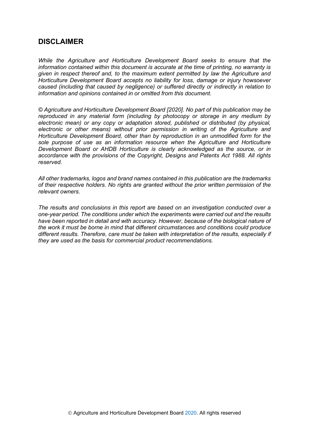## **DISCLAIMER**

*While the Agriculture and Horticulture Development Board seeks to ensure that the information contained within this document is accurate at the time of printing, no warranty is given in respect thereof and, to the maximum extent permitted by law the Agriculture and Horticulture Development Board accepts no liability for loss, damage or injury howsoever caused (including that caused by negligence) or suffered directly or indirectly in relation to information and opinions contained in or omitted from this document.* 

*© Agriculture and Horticulture Development Board [2020]. No part of this publication may be reproduced in any material form (including by photocopy or storage in any medium by electronic mean) or any copy or adaptation stored, published or distributed (by physical, electronic or other means) without prior permission in writing of the Agriculture and Horticulture Development Board, other than by reproduction in an unmodified form for the sole purpose of use as an information resource when the Agriculture and Horticulture Development Board or AHDB Horticulture is clearly acknowledged as the source, or in accordance with the provisions of the Copyright, Designs and Patents Act 1988. All rights reserved.*

*All other trademarks, logos and brand names contained in this publication are the trademarks of their respective holders. No rights are granted without the prior written permission of the relevant owners.* 

*The results and conclusions in this report are based on an investigation conducted over a one-year period. The conditions under which the experiments were carried out and the results have been reported in detail and with accuracy. However, because of the biological nature of the work it must be borne in mind that different circumstances and conditions could produce different results. Therefore, care must be taken with interpretation of the results, especially if they are used as the basis for commercial product recommendations.*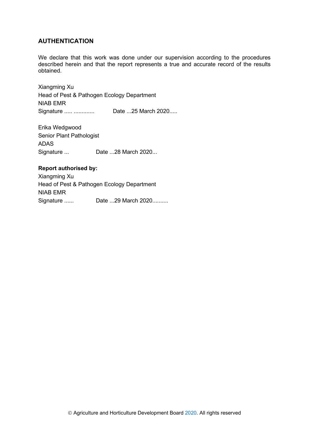## **AUTHENTICATION**

We declare that this work was done under our supervision according to the procedures described herein and that the report represents a true and accurate record of the results obtained.

Xiangming Xu Head of Pest & Pathogen Ecology Department NIAB EMR Signature ..... ............. Date ...25 March 2020.....

Erika Wedgwood Senior Plant Pathologist ADAS Signature ... Date ...28 March 2020...

#### **Report authorised by:**

Xiangming Xu Head of Pest & Pathogen Ecology Department NIAB EMR Signature ...... Date ...29 March 2020..........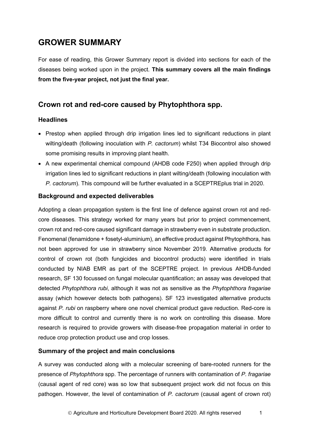# **GROWER SUMMARY**

For ease of reading, this Grower Summary report is divided into sections for each of the diseases being worked upon in the project. **This summary covers all the main findings from the five-year project, not just the final year.**

# **Crown rot and red-core caused by Phytophthora spp.**

## **Headlines**

- Prestop when applied through drip irrigation lines led to significant reductions in plant wilting/death (following inoculation with *P. cactorum*) whilst T34 Biocontrol also showed some promising results in improving plant health.
- A new experimental chemical compound (AHDB code F250) when applied through drip irrigation lines led to significant reductions in plant wilting/death (following inoculation with *P. cactorum*). This compound will be further evaluated in a SCEPTREplus trial in 2020.

## **Background and expected deliverables**

Adopting a clean propagation system is the first line of defence against crown rot and redcore diseases. This strategy worked for many years but prior to project commencement, crown rot and red-core caused significant damage in strawberry even in substrate production. Fenomenal (fenamidone + fosetyl-aluminium), an effective product against Phytophthora, has not been approved for use in strawberry since November 2019. Alternative products for control of crown rot (both fungicides and biocontrol products) were identified in trials conducted by NIAB EMR as part of the SCEPTRE project. In previous AHDB-funded research, SF 130 focussed on fungal molecular quantification; an assay was developed that detected *Phytophthora rubi*, although it was not as sensitive as the *Phytophthora fragariae* assay (which however detects both pathogens). SF 123 investigated alternative products against *P. rubi* on raspberry where one novel chemical product gave reduction. Red-core is more difficult to control and currently there is no work on controlling this disease. More research is required to provide growers with disease-free propagation material in order to reduce crop protection product use and crop losses.

## **Summary of the project and main conclusions**

A survey was conducted along with a molecular screening of bare-rooted runners for the presence of *Phytophthora* spp. The percentage of runners with contamination of *P. fragariae* (causal agent of red core) was so low that subsequent project work did not focus on this pathogen. However, the level of contamination of *P. cactorum* (causal agent of crown rot)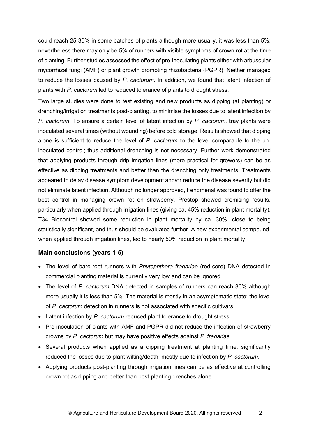could reach 25-30% in some batches of plants although more usually, it was less than 5%; nevertheless there may only be 5% of runners with visible symptoms of crown rot at the time of planting. Further studies assessed the effect of pre-inoculating plants either with arbuscular mycorrhizal fungi (AMF) or plant growth promoting rhizobacteria (PGPR). Neither managed to reduce the losses caused by *P. cactorum*. In addition, we found that latent infection of plants with *P. cactorum* led to reduced tolerance of plants to drought stress.

Two large studies were done to test existing and new products as dipping (at planting) or drenching/irrigation treatments post-planting, to minimise the losses due to latent infection by *P. cactorum*. To ensure a certain level of latent infection by *P. cactorum,* tray plants were inoculated several times (without wounding) before cold storage. Results showed that dipping alone is sufficient to reduce the level of *P. cactorum* to the level comparable to the uninoculated control; thus additional drenching is not necessary. Further work demonstrated that applying products through drip irrigation lines (more practical for growers) can be as effective as dipping treatments and better than the drenching only treatments. Treatments appeared to delay disease symptom development and/or reduce the disease severity but did not eliminate latent infection. Although no longer approved, Fenomenal was found to offer the best control in managing crown rot on strawberry. Prestop showed promising results, particularly when applied through irrigation lines (giving ca. 45% reduction in plant mortality). T34 Biocontrol showed some reduction in plant mortality by ca. 30%, close to being statistically significant, and thus should be evaluated further. A new experimental compound, when applied through irrigation lines, led to nearly 50% reduction in plant mortality.

#### **Main conclusions (years 1-5)**

- The level of bare-root runners with *Phytophthora fragariae* (red-core) DNA detected in commercial planting material is currently very low and can be ignored.
- The level of *P. cactorum* DNA detected in samples of runners can reach 30% although more usually it is less than 5%. The material is mostly in an asymptomatic state; the level of *P. cactorum* detection in runners is not associated with specific cultivars.
- Latent infection by *P. cactorum* reduced plant tolerance to drought stress.
- Pre-inoculation of plants with AMF and PGPR did not reduce the infection of strawberry crowns by *P. cactorum* but may have positive effects against *P. fragariae*.
- Several products when applied as a dipping treatment at planting time, significantly reduced the losses due to plant wilting/death, mostly due to infection by *P. cactorum*.
- Applying products post-planting through irrigation lines can be as effective at controlling crown rot as dipping and better than post-planting drenches alone.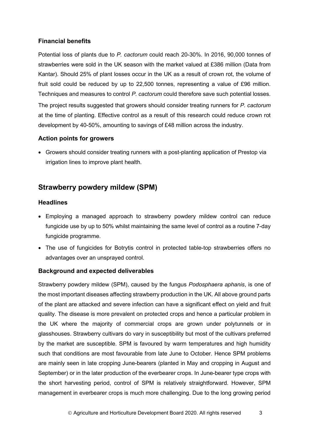## **Financial benefits**

Potential loss of plants due to *P. cactorum* could reach 20-30%. In 2016, 90,000 tonnes of strawberries were sold in the UK season with the market valued at £386 million (Data from Kantar). Should 25% of plant losses occur in the UK as a result of crown rot, the volume of fruit sold could be reduced by up to 22,500 tonnes, representing a value of £96 million. Techniques and measures to control *P. cactorum* could therefore save such potential losses. The project results suggested that growers should consider treating runners for *P. cactorum* at the time of planting. Effective control as a result of this research could reduce crown rot

## **Action points for growers**

• Growers should consider treating runners with a post-planting application of Prestop via irrigation lines to improve plant health.

development by 40-50%, amounting to savings of £48 million across the industry.

# **Strawberry powdery mildew (SPM)**

## **Headlines**

- Employing a managed approach to strawberry powdery mildew control can reduce fungicide use by up to 50% whilst maintaining the same level of control as a routine 7-day fungicide programme.
- The use of fungicides for Botrytis control in protected table-top strawberries offers no advantages over an unsprayed control.

## **Background and expected deliverables**

Strawberry powdery mildew (SPM), caused by the fungus *Podosphaera aphanis*, is one of the most important diseases affecting strawberry production in the UK. All above ground parts of the plant are attacked and severe infection can have a significant effect on yield and fruit quality. The disease is more prevalent on protected crops and hence a particular problem in the UK where the majority of commercial crops are grown under polytunnels or in glasshouses. Strawberry cultivars do vary in susceptibility but most of the cultivars preferred by the market are susceptible. SPM is favoured by warm temperatures and high humidity such that conditions are most favourable from late June to October. Hence SPM problems are mainly seen in late cropping June-bearers (planted in May and cropping in August and September) or in the later production of the everbearer crops. In June-bearer type crops with the short harvesting period, control of SPM is relatively straightforward. However, SPM management in everbearer crops is much more challenging. Due to the long growing period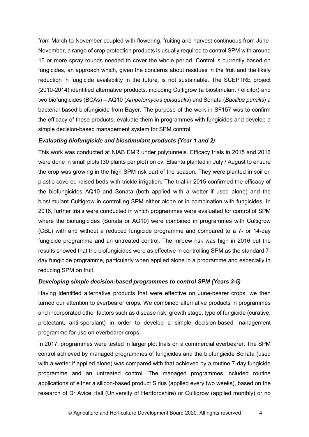from March to November coupled with flowering, fruiting and harvest continuous from June-November, a range of crop protection products is usually required to control SPM with around 15 or more spray rounds needed to cover the whole period. Control is currently based on fungicides, an approach which, given the concerns about residues in the fruit and the likely reduction in fungicide availability in the future, is not sustainable. The SCEPTRE project (2010-2014) identified alternative products, including Cultigrow (a biostimulant / elicitor) and two biofungicides (BCAs) – AQ10 (*Ampelomyces quisqualis*) and Sonata (*Bacillus pumilis*) a bacterial based biofungicide from Bayer. The purpose of the work in SF157 was to confirm the efficacy of these products, evaluate them in programmes with fungicides and develop a simple decision-based management system for SPM control.

#### *Evaluating biofungicide and biostimulant products (Year 1 and 2)*

This work was conducted at NIAB EMR under polytunnels. Efficacy trials in 2015 and 2016 were done in small plots (30 plants per plot) on cv. Elsanta planted in July / August to ensure the crop was growing in the high SPM risk part of the season. They were planted in soil on plastic-covered raised beds with trickle irrigation. The trial in 2015 confirmed the efficacy of the biofungicides AQ10 and Sonata (both applied with a wetter if used alone) and the biostimulant Cultigrow in controlling SPM either alone or in combination with fungicides. In 2016, further trials were conducted in which programmes were evaluated for control of SPM where the biofungicides (Sonata or AQ10) were combined in programmes with Cultigrow (CBL) with and without a reduced fungicide programme and compared to a 7- or 14-day fungicide programme and an untreated control. The mildew risk was high in 2016 but the results showed that the biofungicides were as effective in controlling SPM as the standard 7 day fungicide programme, particularly when applied alone in a programme and especially in reducing SPM on fruit.

## *Developing simple decision-based programmes to control SPM (Years 3-5)*

Having identified alternative products that were effective on June-bearer crops, we then turned our attention to everbearer crops. We combined alternative products in programmes and incorporated other factors such as disease risk, growth stage, type of fungicide (curative, protectant, anti-sporulant) in order to develop a simple decision-based management programme for use on everbearer crops.

In 2017, programmes were tested in larger plot trials on a commercial everbearer. The SPM control achieved by managed programmes of fungicides and the biofungicide Sonata (used with a wetter if applied alone) was compared with that achieved by a routine 7-day fungicide programme and an untreated control. The managed programmes included routine applications of either a silicon-based product Sirius (applied every two weeks), based on the research of Dr Avice Hall (University of Hertfordshire) or Cultigrow (applied monthly) or no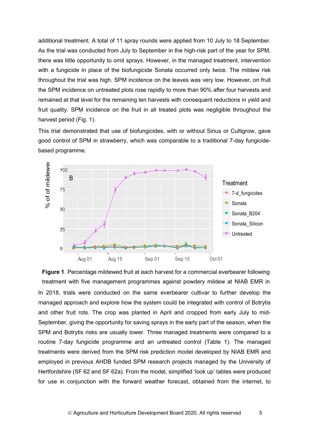additional treatment. A total of 11 spray rounds were applied from 10 July to 18 September. As the trial was conducted from July to September in the high-risk part of the year for SPM, there was little opportunity to omit sprays. However, in the managed treatment, intervention with a fungicide in place of the biofungicide Sonata occurred only twice. The mildew risk throughout the trial was high. SPM incidence on the leaves was very low. However, on fruit the SPM incidence on untreated plots rose rapidly to more than 90% after four harvests and remained at that level for the remaining ten harvests with consequent reductions in yield and fruit quality. SPM incidence on the fruit in all treated plots was negligible throughout the harvest period (Fig. 1).

This trial demonstrated that use of biofungicides, with or without Sirius or Cultigrow, gave good control of SPM in strawberry, which was comparable to a traditional 7-day fungicidebased programme.



In 2018, trials were conducted on the same everbearer cultivar to further develop the managed approach and explore how the system could be integrated with control of Botrytis and other fruit rots. The crop was planted in April and cropped from early July to mid-September, giving the opportunity for saving sprays in the early part of the season, when the SPM and Botrytis risks are usually lower. Three managed treatments were compared to a routine 7-day fungicide programme and an untreated control (Table 1). The managed treatments were derived from the SPM risk prediction model developed by NIAB EMR and employed in previous AHDB funded SPM research projects managed by the University of Hertfordshire (SF 62 and SF 62a). From the model, simplified 'look up' tables were produced for use in conjunction with the forward weather forecast, obtained from the internet, to **Figure 1**. Percentage mildewed fruit at each harvest for a commercial everbearer following treatment with five management programmes against powdery mildew at NIAB EMR in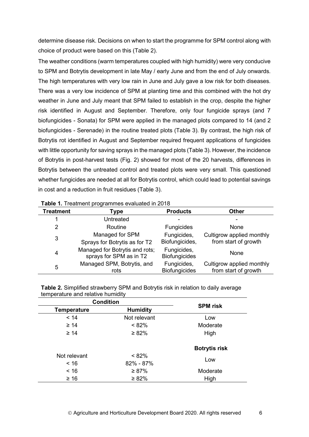determine disease risk. Decisions on when to start the programme for SPM control along with choice of product were based on this (Table 2).

The weather conditions (warm temperatures coupled with high humidity) were very conducive to SPM and Botrytis development in late May / early June and from the end of July onwards. The high temperatures with very low rain in June and July gave a low risk for both diseases. There was a very low incidence of SPM at planting time and this combined with the hot dry weather in June and July meant that SPM failed to establish in the crop, despite the higher risk identified in August and September. Therefore, only four fungicide sprays (and 7 biofungicides - Sonata) for SPM were applied in the managed plots compared to 14 (and 2 biofungicides - Serenade) in the routine treated plots (Table 3). By contrast, the high risk of Botrytis rot identified in August and September required frequent applications of fungicides with little opportunity for saving sprays in the managed plots (Table 3). However, the incidence of Botrytis in post-harvest tests (Fig. 2) showed for most of the 20 harvests, differences in Botrytis between the untreated control and treated plots were very small. This questioned whether fungicides are needed at all for Botrytis control, which could lead to potential savings in cost and a reduction in fruit residues (Table 3).

| <b>Table 1:</b> Treatment programmed evaluated in ZoTo |                                                           |                                     |                                                   |  |
|--------------------------------------------------------|-----------------------------------------------------------|-------------------------------------|---------------------------------------------------|--|
| <b>Treatment</b>                                       | Type                                                      | <b>Products</b>                     | <b>Other</b>                                      |  |
|                                                        | Untreated                                                 |                                     |                                                   |  |
| 2                                                      | Routine                                                   | Fungicides                          | None                                              |  |
| 3                                                      | Managed for SPM<br>Sprays for Botrytis as for T2          | Fungicides,<br>Biofungicides,       | Cultigrow applied monthly<br>from start of growth |  |
| 4                                                      | Managed for Botrytis and rots;<br>sprays for SPM as in T2 | Fungicides,<br><b>Biofungicides</b> | None                                              |  |
| 5                                                      | Managed SPM, Botrytis, and<br>rots                        | Fungicides,<br><b>Biofungicides</b> | Cultigrow applied monthly<br>from start of growth |  |

**Table 1.** Treatment programmes evaluated in 2018

|                                   | <b>Table 2.</b> Simplified strawberry SPM and Botrytis risk in relation to daily average |
|-----------------------------------|------------------------------------------------------------------------------------------|
| temperature and relative humidity |                                                                                          |

| <b>Condition</b>   | <b>SPM</b> risk |                      |
|--------------------|-----------------|----------------------|
| <b>Temperature</b> | <b>Humidity</b> |                      |
| < 14               | Not relevant    | Low                  |
| $\geq 14$          | $< 82\%$        | Moderate             |
| $\geq 14$          | $\geq 82\%$     | High                 |
|                    |                 | <b>Botrytis risk</b> |
| Not relevant       | $< 82\%$        |                      |
| < 16               | 82% - 87%       | Low                  |
| < 16               | $\geq 87\%$     | Moderate             |
| $\geq 16$          | $\geq 82\%$     | High                 |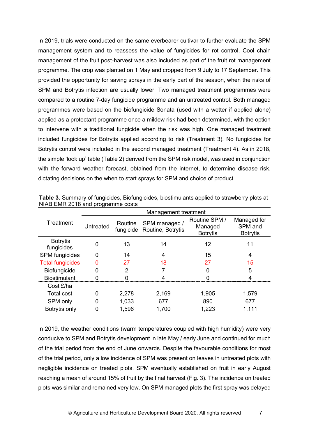In 2019, trials were conducted on the same everbearer cultivar to further evaluate the SPM management system and to reassess the value of fungicides for rot control. Cool chain management of the fruit post-harvest was also included as part of the fruit rot management programme. The crop was planted on 1 May and cropped from 9 July to 17 September. This provided the opportunity for saving sprays in the early part of the season, when the risks of SPM and Botrytis infection are usually lower. Two managed treatment programmes were compared to a routine 7-day fungicide programme and an untreated control. Both managed programmes were based on the biofungicide Sonata (used with a wetter if applied alone) applied as a protectant programme once a mildew risk had been determined, with the option to intervene with a traditional fungicide when the risk was high. One managed treatment included fungicides for Botrytis applied according to risk (Treatment 3). No fungicides for Botrytis control were included in the second managed treatment (Treatment 4). As in 2018, the simple 'look up' table (Table 2) derived from the SPM risk model, was used in conjunction with the forward weather forecast, obtained from the internet, to determine disease risk, dictating decisions on the when to start sprays for SPM and choice of product.

|                               | Management treatment |                      |                                    |                                             |                                           |
|-------------------------------|----------------------|----------------------|------------------------------------|---------------------------------------------|-------------------------------------------|
| Treatment                     | Untreated            | Routine<br>fungicide | SPM managed /<br>Routine, Botrytis | Routine SPM /<br>Managed<br><b>Botrytis</b> | Managed for<br>SPM and<br><b>Botrytis</b> |
| <b>Botrytis</b><br>fungicides | 0                    | 13                   | 14                                 | 12                                          | 11                                        |
| <b>SPM</b> fungicides         | 0                    | 14                   | 4                                  | 15                                          | 4                                         |
| <b>Total fungicides</b>       |                      | 27                   | 18                                 | 27                                          | 15                                        |
| Biofungicide                  | 0                    | 2                    |                                    | O                                           | 5                                         |
| <b>Biostimulant</b>           |                      |                      |                                    |                                             |                                           |
| Cost £/ha                     |                      |                      |                                    |                                             |                                           |
| <b>Total cost</b>             | 0                    | 2,278                | 2,169                              | 1,905                                       | 1,579                                     |
| SPM only                      | 0                    | 1,033                | 677                                | 890                                         | 677                                       |
| Botrytis only                 |                      | 1,596                | 1,700                              | 1,223                                       | 1,111                                     |

**Table 3.** Summary of fungicides, Biofungicides, biostimulants applied to strawberry plots at NIAB EMR 2018 and programme costs

In 2019, the weather conditions (warm temperatures coupled with high humidity) were very conducive to SPM and Botrytis development in late May / early June and continued for much of the trial period from the end of June onwards. Despite the favourable conditions for most of the trial period, only a low incidence of SPM was present on leaves in untreated plots with negligible incidence on treated plots. SPM eventually established on fruit in early August reaching a mean of around 15% of fruit by the final harvest (Fig. 3). The incidence on treated plots was similar and remained very low. On SPM managed plots the first spray was delayed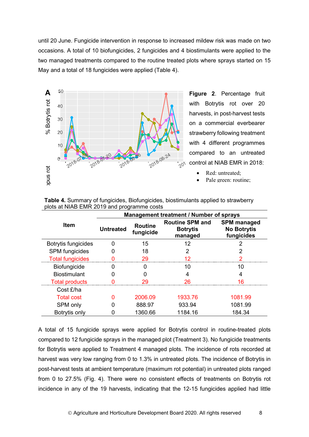until 20 June. Fungicide intervention in response to increased mildew risk was made on two occasions. A total of 10 biofungicides, 2 fungicides and 4 biostimulants were applied to the two managed treatments compared to the routine treated plots where sprays started on 15 May and a total of 18 fungicides were applied (Table 4).



**Figure 2**. Percentage fruit with Botrytis rot over 20 harvests, in post-harvest tests on a commercial everbearer strawberry following treatment with 4 different programmes compared to an untreated control at NIAB EMR in 2018:

- Red: untreated:
- Pale green: routine:

|                         | Management treatment / Number of sprays |                             |                                                      |                                                        |
|-------------------------|-----------------------------------------|-----------------------------|------------------------------------------------------|--------------------------------------------------------|
| <b>Item</b>             | <b>Untreated</b>                        | <b>Routine</b><br>fungicide | <b>Routine SPM and</b><br><b>Botrytis</b><br>managed | <b>SPM</b> managed<br><b>No Botrytis</b><br>fungicides |
| Botrytis fungicides     | O                                       | 15                          | 12                                                   |                                                        |
| <b>SPM</b> fungicides   |                                         | 18                          | 2                                                    |                                                        |
| <b>Total fungicides</b> |                                         | 29                          |                                                      |                                                        |
| <b>Biofungicide</b>     | O                                       | 0                           | 10                                                   | 10                                                     |
| <b>Biostimulant</b>     |                                         |                             |                                                      | 4                                                      |
| <b>Total products</b>   |                                         | 29                          | 26                                                   | 16                                                     |
| Cost £/ha               |                                         |                             |                                                      |                                                        |
| <b>Total cost</b>       | O                                       | 2006.09                     | 1933.76                                              | 1081.99                                                |
| SPM only                |                                         | 888.97                      | 933.94                                               | 1081.99                                                |
| Botrytis only           |                                         | 1360.66                     | 1184.16                                              | 184.34                                                 |

**Table 4.** Summary of fungicides, Biofungicides, biostimulants applied to strawberry plots at NIAB EMR 2019 and programme costs

A total of 15 fungicide sprays were applied for Botrytis control in routine-treated plots compared to 12 fungicide sprays in the managed plot (Treatment 3). No fungicide treatments for Botrytis were applied to Treatment 4 managed plots. The incidence of rots recorded at harvest was very low ranging from 0 to 1.3% in untreated plots. The incidence of Botrytis in post-harvest tests at ambient temperature (maximum rot potential) in untreated plots ranged from 0 to 27.5% (Fig. 4). There were no consistent effects of treatments on Botrytis rot incidence in any of the 19 harvests, indicating that the 12-15 fungicides applied had little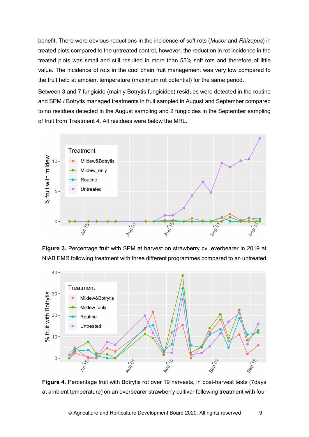benefit. There were obvious reductions in the incidence of soft rots (*Mucor* and *Rhizopus*) in treated plots compared to the untreated control, however, the reduction in rot incidence in the treated plots was small and still resulted in more than 55% soft rots and therefore of little value. The incidence of rots in the cool chain fruit management was very low compared to the fruit held at ambient temperature (maximum rot potential) for the same period.

Between 3 and 7 fungicide (mainly Botrytis fungicides) residues were detected in the routine and SPM / Botrytis managed treatments in fruit sampled in August and September compared to no residues detected in the August sampling and 2 fungicides in the September sampling of fruit from Treatment 4. All residues were below the MRL.



**Figure 3.** Percentage fruit with SPM at harvest on strawberry cv. everbearer in 2019 at NIAB EMR following treatment with three different programmes compared to an untreated



**Figure 4.** Percentage fruit with Botrytis rot over 19 harvests, in post-harvest tests (7days at ambient temperature) on an everbearer strawberry cultivar following treatment with four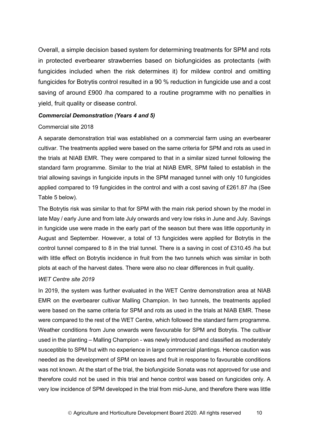Overall, a simple decision based system for determining treatments for SPM and rots in protected everbearer strawberries based on biofungicides as protectants (with fungicides included when the risk determines it) for mildew control and omitting fungicides for Botrytis control resulted in a 90 % reduction in fungicide use and a cost saving of around £900 /ha compared to a routine programme with no penalties in yield, fruit quality or disease control.

#### *Commercial Demonstration (Years 4 and 5)*

#### Commercial site 2018

A separate demonstration trial was established on a commercial farm using an everbearer cultivar. The treatments applied were based on the same criteria for SPM and rots as used in the trials at NIAB EMR. They were compared to that in a similar sized tunnel following the standard farm programme. Similar to the trial at NIAB EMR, SPM failed to establish in the trial allowing savings in fungicide inputs in the SPM managed tunnel with only 10 fungicides applied compared to 19 fungicides in the control and with a cost saving of £261.87 /ha (See Table 5 below).

The Botrytis risk was similar to that for SPM with the main risk period shown by the model in late May / early June and from late July onwards and very low risks in June and July. Savings in fungicide use were made in the early part of the season but there was little opportunity in August and September. However, a total of 13 fungicides were applied for Botrytis in the control tunnel compared to 8 in the trial tunnel. There is a saving in cost of £310.45 /ha but with little effect on Botrytis incidence in fruit from the two tunnels which was similar in both plots at each of the harvest dates. There were also no clear differences in fruit quality.

#### *WET Centre site 2019*

In 2019, the system was further evaluated in the WET Centre demonstration area at NIAB EMR on the everbearer cultivar Malling Champion. In two tunnels, the treatments applied were based on the same criteria for SPM and rots as used in the trials at NIAB EMR. These were compared to the rest of the WET Centre, which followed the standard farm programme. Weather conditions from June onwards were favourable for SPM and Botrytis. The cultivar used in the planting – Malling Champion - was newly introduced and classified as moderately susceptible to SPM but with no experience in large commercial plantings. Hence caution was needed as the development of SPM on leaves and fruit in response to favourable conditions was not known. At the start of the trial, the biofungicide Sonata was not approved for use and therefore could not be used in this trial and hence control was based on fungicides only. A very low incidence of SPM developed in the trial from mid-June, and therefore there was little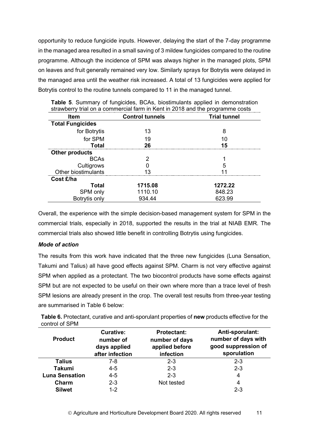opportunity to reduce fungicide inputs. However, delaying the start of the 7-day programme in the managed area resulted in a small saving of 3 mildew fungicides compared to the routine programme. Although the incidence of SPM was always higher in the managed plots, SPM on leaves and fruit generally remained very low. Similarly sprays for Botrytis were delayed in the managed area until the weather risk increased. A total of 13 fungicides were applied for Botrytis control to the routine tunnels compared to 11 in the managed tunnel.

| <b>Item</b>             | <b>Control tunnels</b> | <b>Trial tunnel</b> |  |
|-------------------------|------------------------|---------------------|--|
| <b>Total Fungicides</b> |                        |                     |  |
| for Botrytis            | 13                     | 8                   |  |
| for SPM                 | 19                     | 10                  |  |
| <b>Total</b>            | 26                     | 15                  |  |
| <b>Other products</b>   |                        |                     |  |
| <b>BCAs</b>             | ヮ                      |                     |  |
| Cultigrows              |                        | 5                   |  |
| Other biostimulants     |                        |                     |  |
| Cost £/ha               |                        |                     |  |
| Total                   | 1715.08                | 1272.22             |  |
| SPM only                | 1110.10                | 848.23              |  |
| Botrytis only           | 934.44                 | 623.99              |  |

**Table 5**. Summary of fungicides, BCAs, biostimulants applied in demonstration strawberry trial on a commercial farm in Kent in 2018 and the programme costs

Overall, the experience with the simple decision-based management system for SPM in the commercial trials, especially in 2018, supported the results in the trial at NIAB EMR. The commercial trials also showed little benefit in controlling Botrytis using fungicides.

## *Mode of action*

The results from this work have indicated that the three new fungicides (Luna Sensation, Takumi and Talius) all have good effects against SPM. Charm is not very effective against SPM when applied as a protectant. The two biocontrol products have some effects against SPM but are not expected to be useful on their own where more than a trace level of fresh SPM lesions are already present in the crop. The overall test results from three-year testing are summarised in Table 6 below:

| Table 6. Protectant, curative and anti-sporulant properties of new products effective for the |
|-----------------------------------------------------------------------------------------------|
| control of SPM                                                                                |

| <b>Product</b>        | <b>Curative:</b><br>number of<br>days applied<br>after infection | <b>Protectant:</b><br>number of days<br>applied before<br>infection | Anti-sporulant:<br>number of days with<br>good suppression of<br>sporulation |
|-----------------------|------------------------------------------------------------------|---------------------------------------------------------------------|------------------------------------------------------------------------------|
| <b>Talius</b>         | 7-8                                                              | $2 - 3$                                                             | $2 - 3$                                                                      |
| <b>Takumi</b>         | $4 - 5$                                                          | $2 - 3$                                                             | $2 - 3$                                                                      |
| <b>Luna Sensation</b> | $4 - 5$                                                          | $2 - 3$                                                             | 4                                                                            |
| Charm                 | $2 - 3$                                                          | Not tested                                                          | 4                                                                            |
| <b>Silwet</b>         | $1 - 2$                                                          |                                                                     | $2 - 3$                                                                      |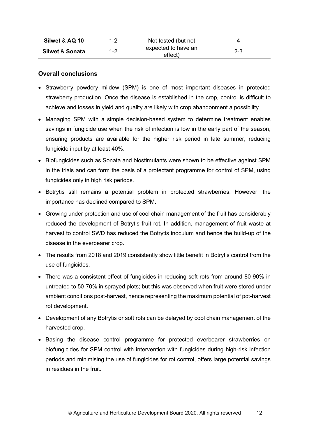| Silwet & AQ 10             | 1-2     | Not tested (but not            | 4       |
|----------------------------|---------|--------------------------------|---------|
| <b>Silwet &amp; Sonata</b> | $1 - 2$ | expected to have an<br>effect) | $2 - 3$ |

### **Overall conclusions**

- Strawberry powdery mildew (SPM) is one of most important diseases in protected strawberry production. Once the disease is established in the crop, control is difficult to achieve and losses in yield and quality are likely with crop abandonment a possibility.
- Managing SPM with a simple decision-based system to determine treatment enables savings in fungicide use when the risk of infection is low in the early part of the season, ensuring products are available for the higher risk period in late summer, reducing fungicide input by at least 40%.
- Biofungicides such as Sonata and biostimulants were shown to be effective against SPM in the trials and can form the basis of a protectant programme for control of SPM, using fungicides only in high risk periods.
- Botrytis still remains a potential problem in protected strawberries. However, the importance has declined compared to SPM.
- Growing under protection and use of cool chain management of the fruit has considerably reduced the development of Botrytis fruit rot. In addition, management of fruit waste at harvest to control SWD has reduced the Botrytis inoculum and hence the build-up of the disease in the everbearer crop.
- The results from 2018 and 2019 consistently show little benefit in Botrytis control from the use of fungicides.
- There was a consistent effect of fungicides in reducing soft rots from around 80-90% in untreated to 50-70% in sprayed plots; but this was observed when fruit were stored under ambient conditions post-harvest, hence representing the maximum potential of pot-harvest rot development.
- Development of any Botrytis or soft rots can be delayed by cool chain management of the harvested crop.
- Basing the disease control programme for protected everbearer strawberries on biofungicides for SPM control with intervention with fungicides during high-risk infection periods and minimising the use of fungicides for rot control, offers large potential savings in residues in the fruit.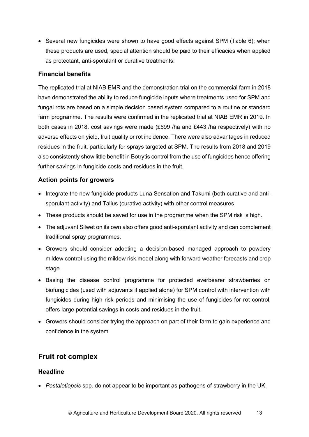• Several new fungicides were shown to have good effects against SPM (Table 6); when these products are used, special attention should be paid to their efficacies when applied as protectant, anti-sporulant or curative treatments.

## **Financial benefits**

The replicated trial at NIAB EMR and the demonstration trial on the commercial farm in 2018 have demonstrated the ability to reduce fungicide inputs where treatments used for SPM and fungal rots are based on a simple decision based system compared to a routine or standard farm programme. The results were confirmed in the replicated trial at NIAB EMR in 2019. In both cases in 2018, cost savings were made (£699 /ha and £443 /ha respectively) with no adverse effects on yield, fruit quality or rot incidence. There were also advantages in reduced residues in the fruit, particularly for sprays targeted at SPM. The results from 2018 and 2019 also consistently show little benefit in Botrytis control from the use of fungicides hence offering further savings in fungicide costs and residues in the fruit.

## **Action points for growers**

- Integrate the new fungicide products Luna Sensation and Takumi (both curative and antisporulant activity) and Talius (curative activity) with other control measures
- These products should be saved for use in the programme when the SPM risk is high.
- The adjuvant Silwet on its own also offers good anti-sporulant activity and can complement traditional spray programmes.
- Growers should consider adopting a decision-based managed approach to powdery mildew control using the mildew risk model along with forward weather forecasts and crop stage.
- Basing the disease control programme for protected everbearer strawberries on biofungicides (used with adjuvants if applied alone) for SPM control with intervention with fungicides during high risk periods and minimising the use of fungicides for rot control, offers large potential savings in costs and residues in the fruit.
- Growers should consider trying the approach on part of their farm to gain experience and confidence in the system.

# **Fruit rot complex**

## **Headline**

• *Pestalotiopsis* spp. do not appear to be important as pathogens of strawberry in the UK.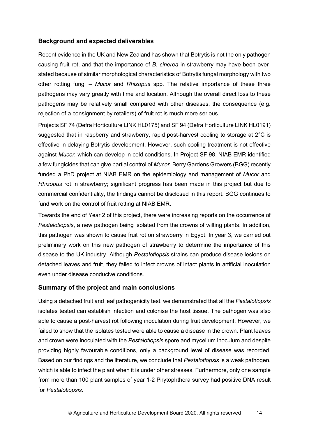## **Background and expected deliverables**

Recent evidence in the UK and New Zealand has shown that Botrytis is not the only pathogen causing fruit rot, and that the importance of *B. cinerea* in strawberry may have been overstated because of similar morphological characteristics of Botrytis fungal morphology with two other rotting fungi – *Mucor* and *Rhizopus* spp. The relative importance of these three pathogens may vary greatly with time and location. Although the overall direct loss to these pathogens may be relatively small compared with other diseases, the consequence (e.g. rejection of a consignment by retailers) of fruit rot is much more serious.

Projects SF 74 (Defra Horticulture LINK HL0175) and SF 94 (Defra Horticulture LINK HL0191) suggested that in raspberry and strawberry, rapid post-harvest cooling to storage at 2°C is effective in delaying Botrytis development. However, such cooling treatment is not effective against *Mucor,* which can develop in cold conditions. In Project SF 98, NIAB EMR identified a few fungicides that can give partial control of *Mucor*. Berry Gardens Growers (BGG) recently funded a PhD project at NIAB EMR on the epidemiology and management of *Mucor* and *Rhizopus* rot in strawberry; significant progress has been made in this project but due to commercial confidentiality, the findings cannot be disclosed in this report. BGG continues to fund work on the control of fruit rotting at NIAB EMR.

Towards the end of Year 2 of this project, there were increasing reports on the occurrence of *Pestalotiopsis*, a new pathogen being isolated from the crowns of wilting plants. In addition, this pathogen was shown to cause fruit rot on strawberry in Egypt. In year 3, we carried out preliminary work on this new pathogen of strawberry to determine the importance of this disease to the UK industry. Although *Pestalotiopsis* strains can produce disease lesions on detached leaves and fruit, they failed to infect crowns of intact plants in artificial inoculation even under disease conducive conditions.

#### **Summary of the project and main conclusions**

Using a detached fruit and leaf pathogenicity test, we demonstrated that all the *Pestalotiopsis* isolates tested can establish infection and colonise the host tissue. The pathogen was also able to cause a post-harvest rot following inoculation during fruit development. However, we failed to show that the isolates tested were able to cause a disease in the crown. Plant leaves and crown were inoculated with the *Pestalotiopsis* spore and mycelium inoculum and despite providing highly favourable conditions, only a background level of disease was recorded. Based on our findings and the literature, we conclude that *Pestalotiopsis* is a weak pathogen, which is able to infect the plant when it is under other stresses. Furthermore, only one sample from more than 100 plant samples of year 1-2 Phytophthora survey had positive DNA result for *Pestalotiopsis.*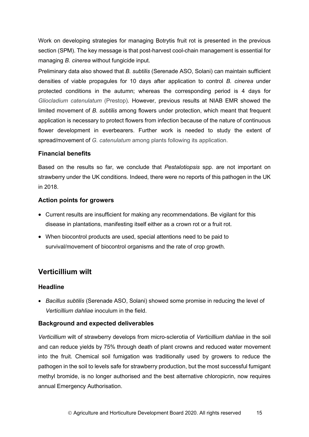Work on developing strategies for managing Botrytis fruit rot is presented in the previous section (SPM). The key message is that post-harvest cool-chain management is essential for managing *B. cinerea* without fungicide input.

Preliminary data also showed that *B. subtilis* (Serenade ASO, Solani) can maintain sufficient densities of viable propagules for 10 days after application to control *B. cinerea* under protected conditions in the autumn; whereas the corresponding period is 4 days for *Gliocladium catenulatum* (Prestop)*.* However, previous results at NIAB EMR showed the limited movement of *B. subtilis* among flowers under protection, which meant that frequent application is necessary to protect flowers from infection because of the nature of continuous flower development in everbearers. Further work is needed to study the extent of spread/movement of *G. catenulatum* among plants following its application.

## **Financial benefits**

Based on the results so far, we conclude that *Pestalotiopsis* spp. are not important on strawberry under the UK conditions. Indeed, there were no reports of this pathogen in the UK in 2018.

## **Action points for growers**

- Current results are insufficient for making any recommendations. Be vigilant for this disease in plantations, manifesting itself either as a crown rot or a fruit rot.
- When biocontrol products are used, special attentions need to be paid to survival/movement of biocontrol organisms and the rate of crop growth.

# **Verticillium wilt**

## **Headline**

• *Bacillus subtilis* (Serenade ASO, Solani) showed some promise in reducing the level of *Verticillium dahliae* inoculum in the field.

## **Background and expected deliverables**

*Verticillium* wilt of strawberry develops from micro-sclerotia of *Verticillium dahliae* in the soil and can reduce yields by 75% through death of plant crowns and reduced water movement into the fruit. Chemical soil fumigation was traditionally used by growers to reduce the pathogen in the soil to levels safe for strawberry production, but the most successful fumigant methyl bromide, is no longer authorised and the best alternative chloropicrin, now requires annual Emergency Authorisation.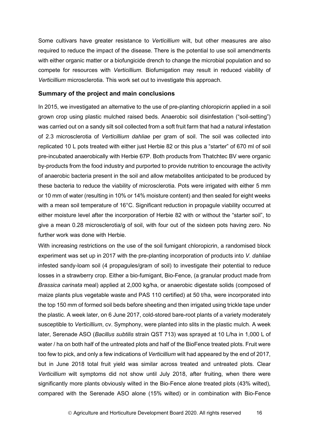Some cultivars have greater resistance to *Verticillium* wilt, but other measures are also required to reduce the impact of the disease. There is the potential to use soil amendments with either organic matter or a biofungicide drench to change the microbial population and so compete for resources with *Verticillium*. Biofumigation may result in reduced viability of *Verticillium* microsclerotia. This work set out to investigate this approach.

#### **Summary of the project and main conclusions**

In 2015, we investigated an alternative to the use of pre-planting chloropicrin applied in a soil grown crop using plastic mulched raised beds. Anaerobic soil disinfestation ("soil-setting") was carried out on a sandy silt soil collected from a soft fruit farm that had a natural infestation of 2.3 microsclerotia of *Verticillium dahliae* per gram of soil. The soil was collected into replicated 10 L pots treated with either just Herbie 82 or this plus a "starter" of 670 ml of soil pre-incubated anaerobically with Herbie 67P. Both products from Thatchtec BV were organic by-products from the food industry and purported to provide nutrition to encourage the activity of anaerobic bacteria present in the soil and allow metabolites anticipated to be produced by these bacteria to reduce the viability of microsclerotia. Pots were irrigated with either 5 mm or 10 mm of water (resulting in 10% or 14% moisture content) and then sealed for eight weeks with a mean soil temperature of 16°C. Significant reduction in propagule viability occurred at either moisture level after the incorporation of Herbie 82 with or without the "starter soil", to give a mean 0.28 microsclerotia/g of soil, with four out of the sixteen pots having zero. No further work was done with Herbie.

With increasing restrictions on the use of the soil fumigant chloropicrin, a randomised block experiment was set up in 2017 with the pre-planting incorporation of products into *V. dahliae* infested sandy-loam soil (4 propagules/gram of soil) to investigate their potential to reduce losses in a strawberry crop. Either a bio-fumigant, Bio-Fence, (a granular product made from *Brassica carinata* meal) applied at 2,000 kg/ha, or anaerobic digestate solids (composed of maize plants plus vegetable waste and PAS 110 certified) at 50 t/ha, were incorporated into the top 150 mm of formed soil beds before sheeting and then irrigated using trickle tape under the plastic. A week later, on 6 June 2017, cold-stored bare-root plants of a variety moderately susceptible to *Verticillium*, cv. Symphony, were planted into slits in the plastic mulch. A week later, Serenade ASO (*Bacillus subtilis* strain QST 713) was sprayed at 10 L/ha in 1,000 L of water / ha on both half of the untreated plots and half of the BioFence treated plots. Fruit were too few to pick, and only a few indications of *Verticillium* wilt had appeared by the end of 2017, but in June 2018 total fruit yield was similar across treated and untreated plots. Clear *Verticillium* wilt symptoms did not show until July 2018, after fruiting, when there were significantly more plants obviously wilted in the Bio-Fence alone treated plots (43% wilted), compared with the Serenade ASO alone (15% wilted) or in combination with Bio-Fence